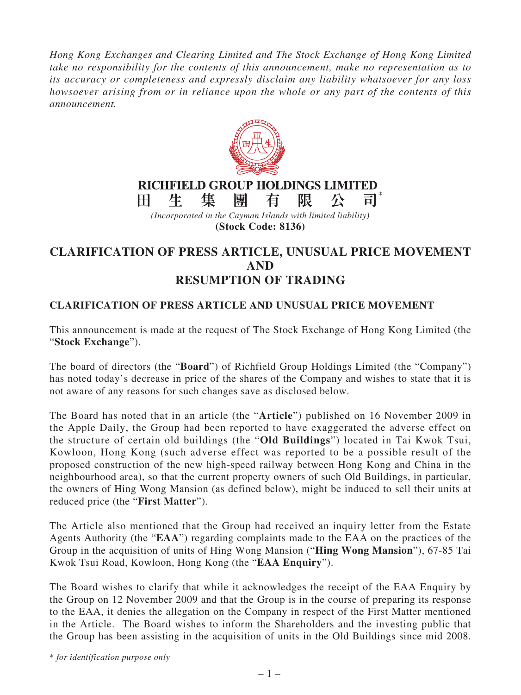*Hong Kong Exchanges and Clearing Limited and The Stock Exchange of Hong Kong Limited take no responsibility for the contents of this announcement, make no representation as to its accuracy or completeness and expressly disclaim any liability whatsoever for any loss howsoever arising from or in reliance upon the whole or any part of the contents of this announcement.*



## **CLARIFICATION OF PRESS ARTICLE, UNUSUAL PRICE MOVEMENT AND RESUMPTION OF TRADING**

## **CLARIFICATION OF PRESS ARTICLE AND UNUSUAL PRICE MOVEMENT**

This announcement is made at the request of The Stock Exchange of Hong Kong Limited (the "**Stock Exchange**").

The board of directors (the "**Board**") of Richfield Group Holdings Limited (the "Company") has noted today's decrease in price of the shares of the Company and wishes to state that it is not aware of any reasons for such changes save as disclosed below.

The Board has noted that in an article (the "**Article**") published on 16 November 2009 in the Apple Daily, the Group had been reported to have exaggerated the adverse effect on the structure of certain old buildings (the "**Old Buildings**") located in Tai Kwok Tsui, Kowloon, Hong Kong (such adverse effect was reported to be a possible result of the proposed construction of the new high-speed railway between Hong Kong and China in the neighbourhood area), so that the current property owners of such Old Buildings, in particular, the owners of Hing Wong Mansion (as defined below), might be induced to sell their units at reduced price (the "**First Matter**").

The Article also mentioned that the Group had received an inquiry letter from the Estate Agents Authority (the "**EAA**") regarding complaints made to the EAA on the practices of the Group in the acquisition of units of Hing Wong Mansion ("**Hing Wong Mansion**"), 67-85 Tai Kwok Tsui Road, Kowloon, Hong Kong (the "**EAA Enquiry**").

The Board wishes to clarify that while it acknowledges the receipt of the EAA Enquiry by the Group on 12 November 2009 and that the Group is in the course of preparing its response to the EAA, it denies the allegation on the Company in respect of the First Matter mentioned in the Article. The Board wishes to inform the Shareholders and the investing public that the Group has been assisting in the acquisition of units in the Old Buildings since mid 2008.

\* *for identification purpose only*